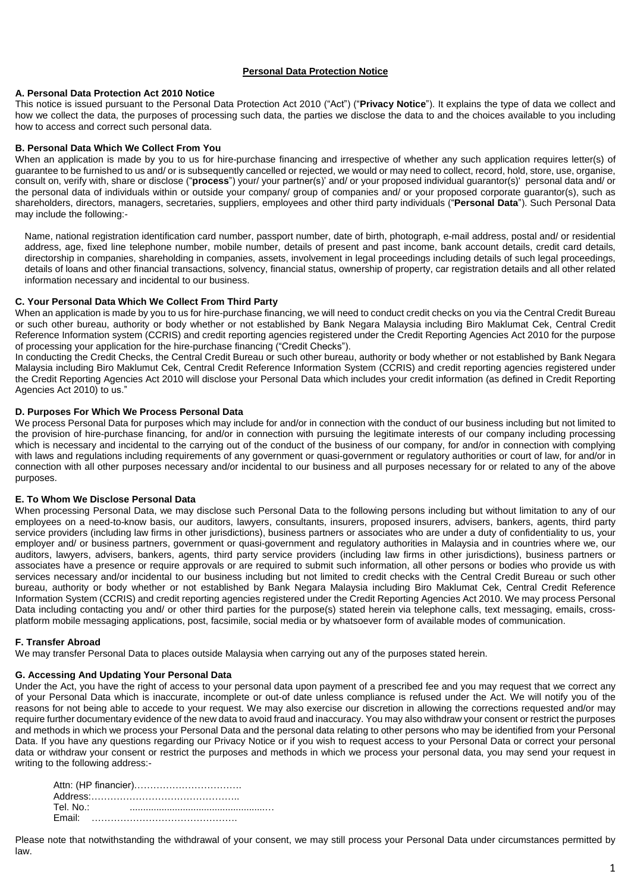## **Personal Data Protection Notice**

## **A. Personal Data Protection Act 2010 Notice**

This notice is issued pursuant to the Personal Data Protection Act 2010 ("Act") ("**Privacy Notice**"). It explains the type of data we collect and how we collect the data, the purposes of processing such data, the parties we disclose the data to and the choices available to you including how to access and correct such personal data.

## **B. Personal Data Which We Collect From You**

When an application is made by you to us for hire-purchase financing and irrespective of whether any such application requires letter(s) of guarantee to be furnished to us and/ or is subsequently cancelled or rejected, we would or may need to collect, record, hold, store, use, organise, consult on, verify with, share or disclose ("**process**") your/ your partner(s)' and/ or your proposed individual guarantor(s)' personal data and/ or the personal data of individuals within or outside your company/ group of companies and/ or your proposed corporate guarantor(s), such as shareholders, directors, managers, secretaries, suppliers, employees and other third party individuals ("**Personal Data**"). Such Personal Data may include the following:-

Name, national registration identification card number, passport number, date of birth, photograph, e-mail address, postal and/ or residential address, age, fixed line telephone number, mobile number, details of present and past income, bank account details, credit card details, directorship in companies, shareholding in companies, assets, involvement in legal proceedings including details of such legal proceedings, details of loans and other financial transactions, solvency, financial status, ownership of property, car registration details and all other related information necessary and incidental to our business.

## **C. Your Personal Data Which We Collect From Third Party**

When an application is made by you to us for hire-purchase financing, we will need to conduct credit checks on you via the Central Credit Bureau or such other bureau, authority or body whether or not established by Bank Negara Malaysia including Biro Maklumat Cek, Central Credit Reference Information system (CCRIS) and credit reporting agencies registered under the Credit Reporting Agencies Act 2010 for the purpose of processing your application for the hire-purchase financing ("Credit Checks").

In conducting the Credit Checks, the Central Credit Bureau or such other bureau, authority or body whether or not established by Bank Negara Malaysia including Biro Maklumut Cek, Central Credit Reference Information System (CCRIS) and credit reporting agencies registered under the Credit Reporting Agencies Act 2010 will disclose your Personal Data which includes your credit information (as defined in Credit Reporting Agencies Act 2010) to us."

# **D. Purposes For Which We Process Personal Data**

We process Personal Data for purposes which may include for and/or in connection with the conduct of our business including but not limited to the provision of hire-purchase financing, for and/or in connection with pursuing the legitimate interests of our company including processing which is necessary and incidental to the carrying out of the conduct of the business of our company, for and/or in connection with complying with laws and regulations including requirements of any government or quasi-government or regulatory authorities or court of law, for and/or in connection with all other purposes necessary and/or incidental to our business and all purposes necessary for or related to any of the above purposes.

# **E. To Whom We Disclose Personal Data**

When processing Personal Data, we may disclose such Personal Data to the following persons including but without limitation to any of our employees on a need-to-know basis, our auditors, lawyers, consultants, insurers, proposed insurers, advisers, bankers, agents, third party service providers (including law firms in other jurisdictions), business partners or associates who are under a duty of confidentiality to us, your employer and/ or business partners, government or quasi-government and regulatory authorities in Malaysia and in countries where we, our auditors, lawyers, advisers, bankers, agents, third party service providers (including law firms in other jurisdictions), business partners or associates have a presence or require approvals or are required to submit such information, all other persons or bodies who provide us with services necessary and/or incidental to our business including but not limited to credit checks with the Central Credit Bureau or such other bureau, authority or body whether or not established by Bank Negara Malaysia including Biro Maklumat Cek, Central Credit Reference Information System (CCRIS) and credit reporting agencies registered under the Credit Reporting Agencies Act 2010. We may process Personal Data including contacting you and/ or other third parties for the purpose(s) stated herein via telephone calls, text messaging, emails, crossplatform mobile messaging applications, post, facsimile, social media or by whatsoever form of available modes of communication.

# **F. Transfer Abroad**

We may transfer Personal Data to places outside Malaysia when carrying out any of the purposes stated herein.

# **G. Accessing And Updating Your Personal Data**

Under the Act, you have the right of access to your personal data upon payment of a prescribed fee and you may request that we correct any of your Personal Data which is inaccurate, incomplete or out-of date unless compliance is refused under the Act. We will notify you of the reasons for not being able to accede to your request. We may also exercise our discretion in allowing the corrections requested and/or may require further documentary evidence of the new data to avoid fraud and inaccuracy. You may also withdraw your consent or restrict the purposes and methods in which we process your Personal Data and the personal data relating to other persons who may be identified from your Personal Data. If you have any questions regarding our Privacy Notice or if you wish to request access to your Personal Data or correct your personal data or withdraw your consent or restrict the purposes and methods in which we process your personal data, you may send your request in writing to the following address:-

| Tel. No.: |  |
|-----------|--|
|           |  |
|           |  |

Please note that notwithstanding the withdrawal of your consent, we may still process your Personal Data under circumstances permitted by law.